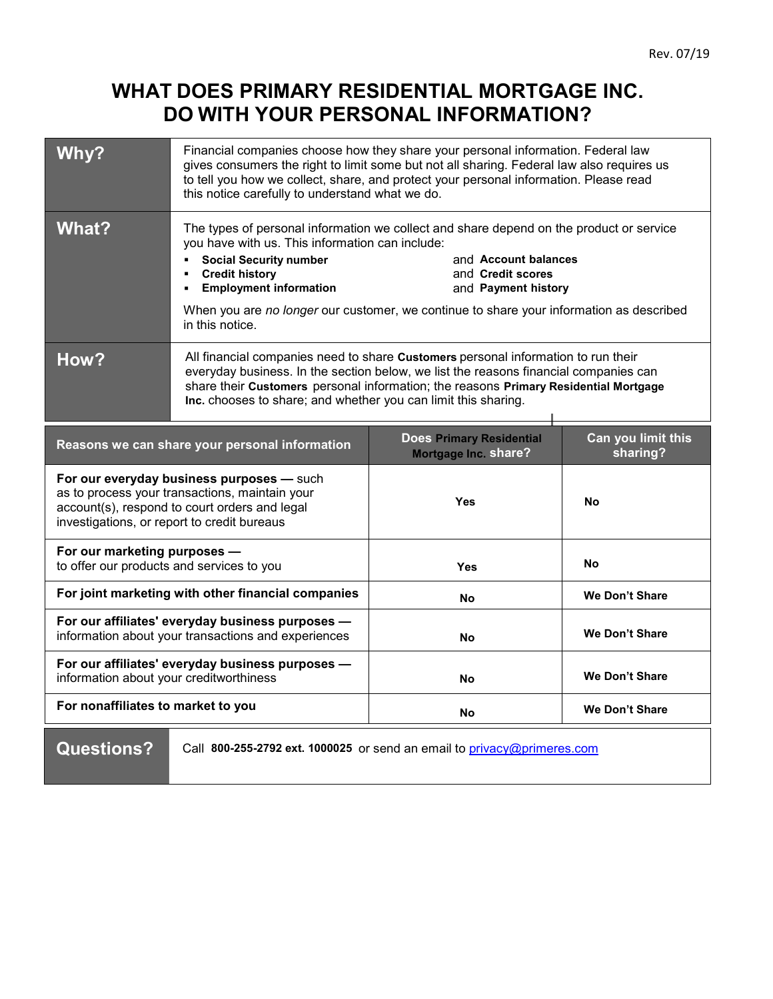## **WHAT DOES PRIMARY RESIDENTIAL MORTGAGE INC. DO WITH YOUR PERSONAL INFORMATION?**

| Why?<br><b>What?</b>                                                                                                                                                                        | Financial companies choose how they share your personal information. Federal law<br>gives consumers the right to limit some but not all sharing. Federal law also requires us<br>to tell you how we collect, share, and protect your personal information. Please read<br>this notice carefully to understand what we do.<br>The types of personal information we collect and share depend on the product or service |                                                                |                                                                                                                                        |  |
|---------------------------------------------------------------------------------------------------------------------------------------------------------------------------------------------|----------------------------------------------------------------------------------------------------------------------------------------------------------------------------------------------------------------------------------------------------------------------------------------------------------------------------------------------------------------------------------------------------------------------|----------------------------------------------------------------|----------------------------------------------------------------------------------------------------------------------------------------|--|
|                                                                                                                                                                                             | you have with us. This information can include:<br><b>Social Security number</b><br><b>Credit history</b><br><b>Employment information</b><br>in this notice.                                                                                                                                                                                                                                                        | and Credit scores                                              | and Account balances<br>and Payment history<br>When you are no longer our customer, we continue to share your information as described |  |
| How?                                                                                                                                                                                        | All financial companies need to share Customers personal information to run their<br>everyday business. In the section below, we list the reasons financial companies can<br>share their Customers personal information; the reasons Primary Residential Mortgage<br>Inc. chooses to share; and whether you can limit this sharing.                                                                                  |                                                                |                                                                                                                                        |  |
| Reasons we can share your personal information                                                                                                                                              |                                                                                                                                                                                                                                                                                                                                                                                                                      | <b>Does Primary Residential</b><br><b>Mortgage Inc. share?</b> | Can you limit this<br>sharing?                                                                                                         |  |
| For our everyday business purposes - such<br>as to process your transactions, maintain your<br>account(s), respond to court orders and legal<br>investigations, or report to credit bureaus |                                                                                                                                                                                                                                                                                                                                                                                                                      | Yes                                                            | No                                                                                                                                     |  |
| For our marketing purposes -<br>to offer our products and services to you                                                                                                                   |                                                                                                                                                                                                                                                                                                                                                                                                                      | Yes                                                            | No                                                                                                                                     |  |
| For joint marketing with other financial companies                                                                                                                                          |                                                                                                                                                                                                                                                                                                                                                                                                                      | No                                                             | <b>We Don't Share</b>                                                                                                                  |  |
| For our affiliates' everyday business purposes -<br>information about your transactions and experiences                                                                                     |                                                                                                                                                                                                                                                                                                                                                                                                                      | No                                                             | We Don't Share                                                                                                                         |  |
| For our affiliates' everyday business purposes -<br>information about your creditworthiness                                                                                                 |                                                                                                                                                                                                                                                                                                                                                                                                                      | No                                                             | We Don't Share                                                                                                                         |  |
| For nonaffiliates to market to you                                                                                                                                                          |                                                                                                                                                                                                                                                                                                                                                                                                                      | No                                                             | We Don't Share                                                                                                                         |  |
| <b>Questions?</b><br>Call 800-255-2792 ext. 1000025 or send an email to privacy@primeres.com                                                                                                |                                                                                                                                                                                                                                                                                                                                                                                                                      |                                                                |                                                                                                                                        |  |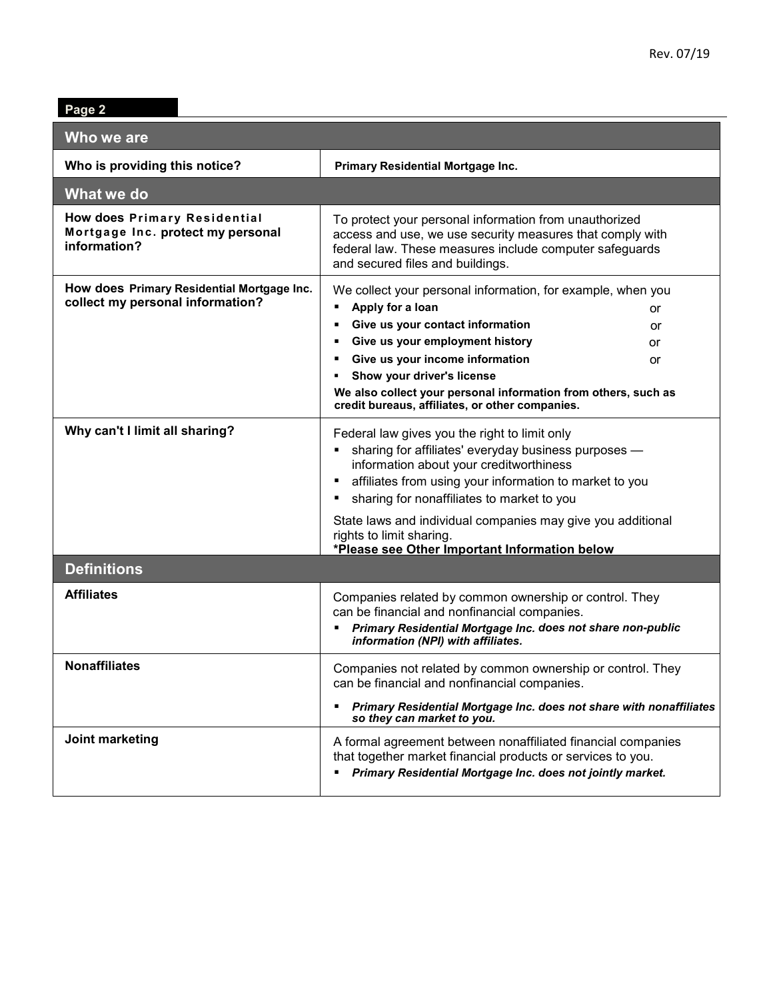| Page 2                                                                            |                                                                                                                                                                                                                                                                                                                                                                                                                 |  |  |
|-----------------------------------------------------------------------------------|-----------------------------------------------------------------------------------------------------------------------------------------------------------------------------------------------------------------------------------------------------------------------------------------------------------------------------------------------------------------------------------------------------------------|--|--|
| Who we are                                                                        |                                                                                                                                                                                                                                                                                                                                                                                                                 |  |  |
| Who is providing this notice?                                                     | Primary Residential Mortgage Inc.                                                                                                                                                                                                                                                                                                                                                                               |  |  |
| What we do                                                                        |                                                                                                                                                                                                                                                                                                                                                                                                                 |  |  |
| How does Primary Residential<br>Mortgage Inc. protect my personal<br>information? | To protect your personal information from unauthorized<br>access and use, we use security measures that comply with<br>federal law. These measures include computer safeguards<br>and secured files and buildings.                                                                                                                                                                                              |  |  |
| How does Primary Residential Mortgage Inc.<br>collect my personal information?    | We collect your personal information, for example, when you<br>Apply for a loan<br>٠<br>or<br>Give us your contact information<br>or<br>Give us your employment history<br>٠<br>or<br>Give us your income information<br>٠<br>or<br>Show your driver's license<br>٠<br>We also collect your personal information from others, such as<br>credit bureaus, affiliates, or other companies.                        |  |  |
| Why can't I limit all sharing?                                                    | Federal law gives you the right to limit only<br>sharing for affiliates' everyday business purposes -<br>information about your creditworthiness<br>affiliates from using your information to market to you<br>٠<br>sharing for nonaffiliates to market to you<br>٠<br>State laws and individual companies may give you additional<br>rights to limit sharing.<br>*Please see Other Important Information below |  |  |
| <b>Definitions</b>                                                                |                                                                                                                                                                                                                                                                                                                                                                                                                 |  |  |
| <b>Affiliates</b>                                                                 | Companies related by common ownership or control. They<br>can be financial and nonfinancial companies.<br>Primary Residential Mortgage Inc. does not share non-public<br>information (NPI) with affiliates.                                                                                                                                                                                                     |  |  |
| <b>Nonaffiliates</b>                                                              | Companies not related by common ownership or control. They<br>can be financial and nonfinancial companies.<br>Primary Residential Mortgage Inc. does not share with nonaffiliates<br>٠<br>so they can market to you.                                                                                                                                                                                            |  |  |
| Joint marketing                                                                   | A formal agreement between nonaffiliated financial companies<br>that together market financial products or services to you.<br>Primary Residential Mortgage Inc. does not jointly market.<br>٠                                                                                                                                                                                                                  |  |  |

**Page 2**